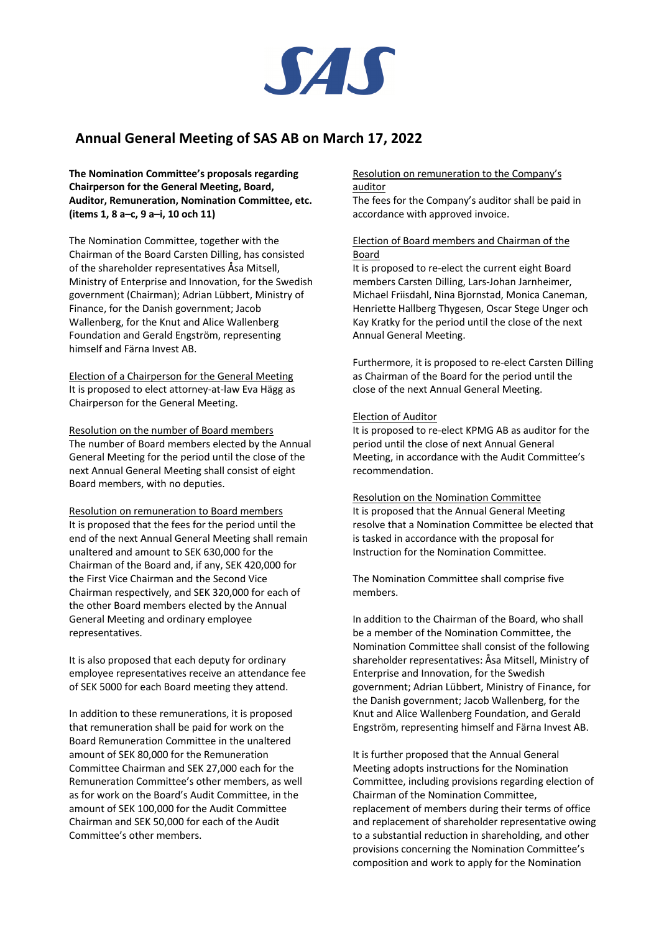

# **Annual General Meeting of SAS AB on March 17, 2022**

**The Nomination Committee's proposals regarding Chairperson for the General Meeting, Board, Auditor, Remuneration, Nomination Committee, etc. (items 1, 8 a–c, 9 a–i, 10 och 11)**

The Nomination Committee, together with the Chairman of the Board Carsten Dilling, has consisted of the shareholder representatives Åsa Mitsell, Ministry of Enterprise and Innovation, for the Swedish government (Chairman); Adrian Lübbert, Ministry of Finance, for the Danish government; Jacob Wallenberg, for the Knut and Alice Wallenberg Foundation and Gerald Engström, representing himself and Färna Invest AB.

Election of a Chairperson for the General Meeting It is proposed to elect attorney-at-law Eva Hägg as Chairperson for the General Meeting.

Resolution on the number of Board members The number of Board members elected by the Annual General Meeting for the period until the close of the next Annual General Meeting shall consist of eight Board members, with no deputies.

Resolution on remuneration to Board members It is proposed that the fees for the period until the end of the next Annual General Meeting shall remain unaltered and amount to SEK 630,000 for the Chairman of the Board and, if any, SEK 420,000 for the First Vice Chairman and the Second Vice Chairman respectively, and SEK 320,000 for each of the other Board members elected by the Annual General Meeting and ordinary employee representatives.

It is also proposed that each deputy for ordinary employee representatives receive an attendance fee of SEK 5000 for each Board meeting they attend.

In addition to these remunerations, it is proposed that remuneration shall be paid for work on the Board Remuneration Committee in the unaltered amount of SEK 80,000 for the Remuneration Committee Chairman and SEK 27,000 each for the Remuneration Committee's other members, as well as for work on the Board's Audit Committee, in the amount of SEK 100,000 for the Audit Committee Chairman and SEK 50,000 for each of the Audit Committee's other members.

#### Resolution on remuneration to the Company's auditor

The fees for the Company's auditor shall be paid in accordance with approved invoice.

## Election of Board members and Chairman of the Board

It is proposed to re-elect the current eight Board members Carsten Dilling, Lars-Johan Jarnheimer, Michael Friisdahl, Nina Bjornstad, Monica Caneman, Henriette Hallberg Thygesen, Oscar Stege Unger och Kay Kratky for the period until the close of the next Annual General Meeting.

Furthermore, it is proposed to re-elect Carsten Dilling as Chairman of the Board for the period until the close of the next Annual General Meeting.

### Election of Auditor

It is proposed to re-elect KPMG AB as auditor for the period until the close of next Annual General Meeting, in accordance with the Audit Committee's recommendation.

#### Resolution on the Nomination Committee

It is proposed that the Annual General Meeting resolve that a Nomination Committee be elected that is tasked in accordance with the proposal for Instruction for the Nomination Committee.

The Nomination Committee shall comprise five members.

In addition to the Chairman of the Board, who shall be a member of the Nomination Committee, the Nomination Committee shall consist of the following shareholder representatives: Åsa Mitsell, Ministry of Enterprise and Innovation, for the Swedish government; Adrian Lübbert, Ministry of Finance, for the Danish government; Jacob Wallenberg, for the Knut and Alice Wallenberg Foundation, and Gerald Engström, representing himself and Färna Invest AB.

It is further proposed that the Annual General Meeting adopts instructions for the Nomination Committee, including provisions regarding election of Chairman of the Nomination Committee, replacement of members during their terms of office and replacement of shareholder representative owing to a substantial reduction in shareholding, and other provisions concerning the Nomination Committee's composition and work to apply for the Nomination